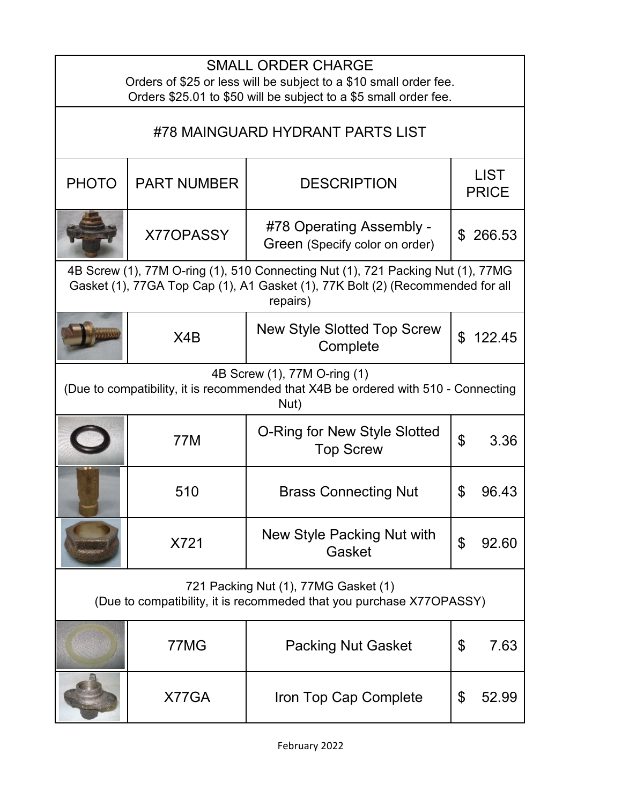| <b>SMALL ORDER CHARGE</b><br>Orders of \$25 or less will be subject to a \$10 small order fee.<br>Orders \$25.01 to \$50 will be subject to a \$5 small order fee.            |                    |                                                            |                             |          |
|-------------------------------------------------------------------------------------------------------------------------------------------------------------------------------|--------------------|------------------------------------------------------------|-----------------------------|----------|
| #78 MAINGUARD HYDRANT PARTS LIST                                                                                                                                              |                    |                                                            |                             |          |
| <b>PHOTO</b>                                                                                                                                                                  | <b>PART NUMBER</b> | <b>DESCRIPTION</b>                                         | <b>LIST</b><br><b>PRICE</b> |          |
|                                                                                                                                                                               | X77OPASSY          | #78 Operating Assembly -<br>Green (Specify color on order) | $\mathfrak{L}$              | 266.53   |
| 4B Screw (1), 77M O-ring (1), 510 Connecting Nut (1), 721 Packing Nut (1), 77MG<br>Gasket (1), 77GA Top Cap (1), A1 Gasket (1), 77K Bolt (2) (Recommended for all<br>repairs) |                    |                                                            |                             |          |
|                                                                                                                                                                               | X4B                | <b>New Style Slotted Top Screw</b><br>Complete             |                             | \$122.45 |
| 4B Screw (1), 77M O-ring (1)<br>(Due to compatibility, it is recommended that X4B be ordered with 510 - Connecting<br>Nut)                                                    |                    |                                                            |                             |          |
|                                                                                                                                                                               | <b>77M</b>         | O-Ring for New Style Slotted<br><b>Top Screw</b>           | \$                          | 3.36     |
|                                                                                                                                                                               | 510                | <b>Brass Connecting Nut</b>                                | \$                          | 96.43    |
|                                                                                                                                                                               | X721               | New Style Packing Nut with<br>Gasket                       | \$                          | 92.60    |
| 721 Packing Nut (1), 77MG Gasket (1)<br>(Due to compatibility, it is recommeded that you purchase X77OPASSY)                                                                  |                    |                                                            |                             |          |
|                                                                                                                                                                               | 77MG               | <b>Packing Nut Gasket</b>                                  | \$                          | 7.63     |
|                                                                                                                                                                               | X77GA              | Iron Top Cap Complete                                      | \$                          | 52.99    |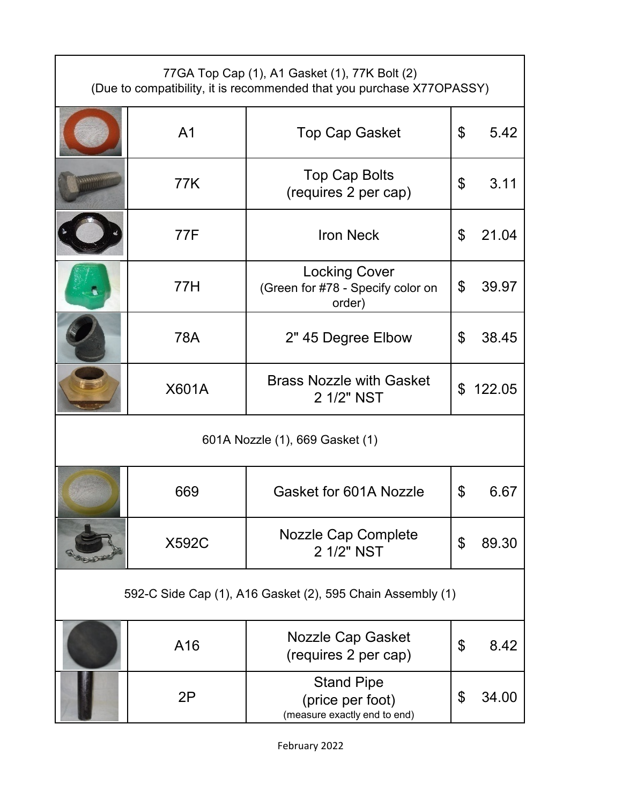| 77GA Top Cap (1), A1 Gasket (1), 77K Bolt (2)<br>(Due to compatibility, it is recommended that you purchase X77OPASSY) |                |                                                                       |    |          |
|------------------------------------------------------------------------------------------------------------------------|----------------|-----------------------------------------------------------------------|----|----------|
|                                                                                                                        | A <sub>1</sub> | <b>Top Cap Gasket</b>                                                 | \$ | 5.42     |
|                                                                                                                        | 77K            | Top Cap Bolts<br>(requires 2 per cap)                                 | \$ | 3.11     |
|                                                                                                                        | 77F            | <b>Iron Neck</b>                                                      | \$ | 21.04    |
|                                                                                                                        | 77H            | <b>Locking Cover</b><br>(Green for #78 - Specify color on<br>order)   | \$ | 39.97    |
|                                                                                                                        | 78A            | 2" 45 Degree Elbow                                                    | \$ | 38.45    |
|                                                                                                                        | <b>X601A</b>   | <b>Brass Nozzle with Gasket</b><br>2 1/2" NST                         |    | \$122.05 |
| 601A Nozzle (1), 669 Gasket (1)                                                                                        |                |                                                                       |    |          |
|                                                                                                                        | 669            | Gasket for 601A Nozzle                                                | \$ | 6.67     |
|                                                                                                                        | <b>X592C</b>   | <b>Nozzle Cap Complete</b><br>2 1/2" NST                              | \$ | 89.30    |
| 592-C Side Cap (1), A16 Gasket (2), 595 Chain Assembly (1)                                                             |                |                                                                       |    |          |
|                                                                                                                        | A16            | <b>Nozzle Cap Gasket</b><br>(requires 2 per cap)                      | \$ | 8.42     |
|                                                                                                                        | 2P             | <b>Stand Pipe</b><br>(price per foot)<br>(measure exactly end to end) | \$ | 34.00    |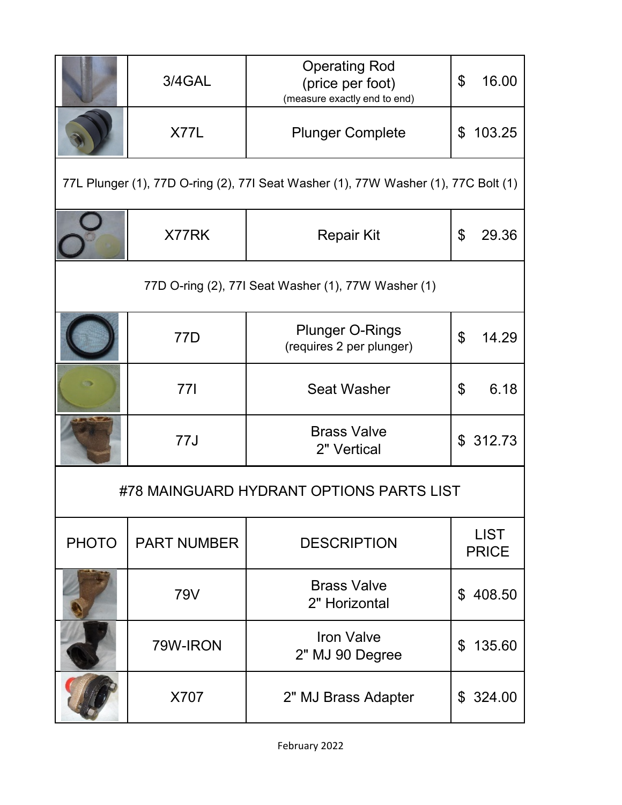|                                                                                    | 3/4GAL             | <b>Operating Rod</b><br>(price per foot)<br>(measure exactly end to end) | \$<br>16.00                 |  |
|------------------------------------------------------------------------------------|--------------------|--------------------------------------------------------------------------|-----------------------------|--|
|                                                                                    | X77L               | <b>Plunger Complete</b>                                                  | 103.25<br>\$                |  |
| 77L Plunger (1), 77D O-ring (2), 77I Seat Washer (1), 77W Washer (1), 77C Bolt (1) |                    |                                                                          |                             |  |
|                                                                                    | X77RK              | <b>Repair Kit</b>                                                        | $\mathfrak{L}$<br>29.36     |  |
| 77D O-ring (2), 77I Seat Washer (1), 77W Washer (1)                                |                    |                                                                          |                             |  |
|                                                                                    | 77D                | <b>Plunger O-Rings</b><br>(requires 2 per plunger)                       | \$<br>14.29                 |  |
|                                                                                    | <b>771</b>         | <b>Seat Washer</b>                                                       | 6.18<br>\$                  |  |
|                                                                                    | 77J                | <b>Brass Valve</b><br>2" Vertical                                        | \$312.73                    |  |
| #78 MAINGUARD HYDRANT OPTIONS PARTS LIST                                           |                    |                                                                          |                             |  |
| <b>PHOTO</b>                                                                       | <b>PART NUMBER</b> | <b>DESCRIPTION</b>                                                       | <b>LIST</b><br><b>PRICE</b> |  |
|                                                                                    | <b>79V</b>         | <b>Brass Valve</b><br>2" Horizontal                                      | 408.50<br>\$                |  |
|                                                                                    | 79W-IRON           | <b>Iron Valve</b><br>2" MJ 90 Degree                                     | 135.60<br>\$                |  |
|                                                                                    | X707               | 2" MJ Brass Adapter                                                      | \$324.00                    |  |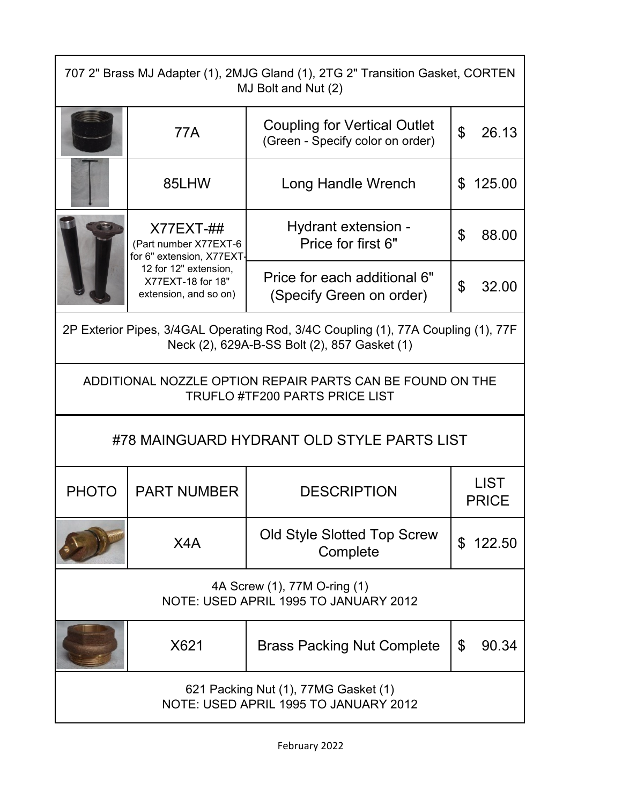| 707 2" Brass MJ Adapter (1), 2MJG Gland (1), 2TG 2" Transition Gasket, CORTEN<br>MJ Bolt and Nut (2)                              |                                                                                                                                         |                                                                         |    |                             |
|-----------------------------------------------------------------------------------------------------------------------------------|-----------------------------------------------------------------------------------------------------------------------------------------|-------------------------------------------------------------------------|----|-----------------------------|
|                                                                                                                                   | 77A                                                                                                                                     | <b>Coupling for Vertical Outlet</b><br>(Green - Specify color on order) | \$ | 26.13                       |
|                                                                                                                                   | 85LHW                                                                                                                                   | Long Handle Wrench                                                      |    | \$125.00                    |
|                                                                                                                                   | $X77EXT-##$<br>(Part number X77EXT-6<br>for 6" extension, X77EXT<br>12 for 12" extension,<br>X77EXT-18 for 18"<br>extension, and so on) | Hydrant extension -<br>Price for first 6"                               | \$ | 88.00                       |
|                                                                                                                                   |                                                                                                                                         | Price for each additional 6"<br>(Specify Green on order)                | \$ | 32.00                       |
| 2P Exterior Pipes, 3/4GAL Operating Rod, 3/4C Coupling (1), 77A Coupling (1), 77F<br>Neck (2), 629A-B-SS Bolt (2), 857 Gasket (1) |                                                                                                                                         |                                                                         |    |                             |
| ADDITIONAL NOZZLE OPTION REPAIR PARTS CAN BE FOUND ON THE<br><b>TRUFLO #TF200 PARTS PRICE LIST</b>                                |                                                                                                                                         |                                                                         |    |                             |
| #78 MAINGUARD HYDRANT OLD STYLE PARTS LIST                                                                                        |                                                                                                                                         |                                                                         |    |                             |
| <b>PHOTO</b>                                                                                                                      | <b>PART NUMBER</b>                                                                                                                      | <b>DESCRIPTION</b>                                                      |    | <b>LIST</b><br><b>PRICE</b> |
|                                                                                                                                   | X4A                                                                                                                                     | Old Style Slotted Top Screw<br>Complete                                 |    | \$122.50                    |
| 4A Screw (1), 77M O-ring (1)<br>NOTE: USED APRIL 1995 TO JANUARY 2012                                                             |                                                                                                                                         |                                                                         |    |                             |
|                                                                                                                                   | X621                                                                                                                                    | <b>Brass Packing Nut Complete</b>                                       | \$ | 90.34                       |
| 621 Packing Nut (1), 77MG Gasket (1)<br>NOTE: USED APRIL 1995 TO JANUARY 2012                                                     |                                                                                                                                         |                                                                         |    |                             |